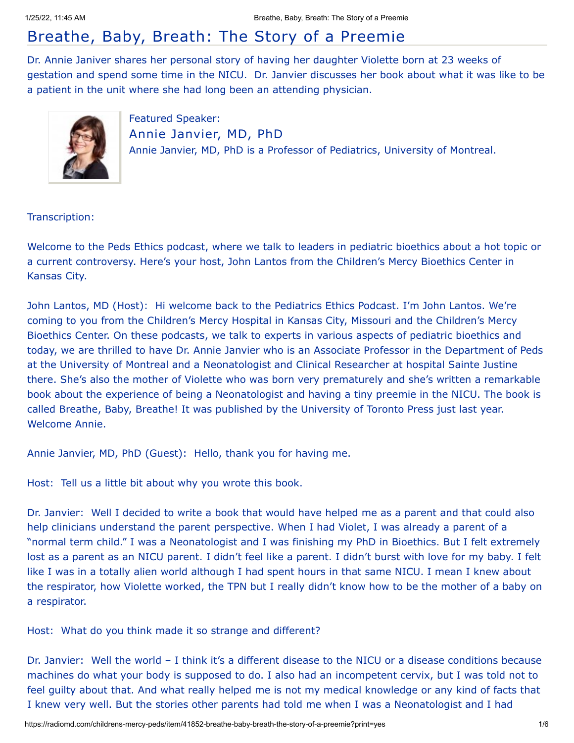## Breathe, Baby, Breath: The Story of a Preemie

Dr. Annie Janiver shares her personal story of having her daughter Violette born at 23 weeks of gestation and spend some time in the NICU. Dr. Janvier discusses her book about what it was like to be a patient in the unit where she had long been an attending physician.



Featured Speaker: Annie Janvier, MD, PhD Annie Janvier, MD, PhD is a Professor of Pediatrics, University of Montreal.

## Transcription:

Welcome to the Peds Ethics podcast, where we talk to leaders in pediatric bioethics about a hot topic or a current controversy. Here's your host, John Lantos from the Children's Mercy Bioethics Center in Kansas City.

John Lantos, MD (Host): Hi welcome back to the Pediatrics Ethics Podcast. I'm John Lantos. We're coming to you from the Children's Mercy Hospital in Kansas City, Missouri and the Children's Mercy Bioethics Center. On these podcasts, we talk to experts in various aspects of pediatric bioethics and today, we are thrilled to have Dr. Annie Janvier who is an Associate Professor in the Department of Peds at the University of Montreal and a Neonatologist and Clinical Researcher at hospital Sainte Justine there. She's also the mother of Violette who was born very prematurely and she's written a remarkable book about the experience of being a Neonatologist and having a tiny preemie in the NICU. The book is called Breathe, Baby, Breathe! It was published by the University of Toronto Press just last year. Welcome Annie.

Annie Janvier, MD, PhD (Guest): Hello, thank you for having me.

Host: Tell us a little bit about why you wrote this book.

Dr. Janvier: Well I decided to write a book that would have helped me as a parent and that could also help clinicians understand the parent perspective. When I had Violet, I was already a parent of a "normal term child." I was a Neonatologist and I was finishing my PhD in Bioethics. But I felt extremely lost as a parent as an NICU parent. I didn't feel like a parent. I didn't burst with love for my baby. I felt like I was in a totally alien world although I had spent hours in that same NICU. I mean I knew about the respirator, how Violette worked, the TPN but I really didn't know how to be the mother of a baby on a respirator.

Host: What do you think made it so strange and different?

Dr. Janvier: Well the world – I think it's a different disease to the NICU or a disease conditions because machines do what your body is supposed to do. I also had an incompetent cervix, but I was told not to feel guilty about that. And what really helped me is not my medical knowledge or any kind of facts that I knew very well. But the stories other parents had told me when I was a Neonatologist and I had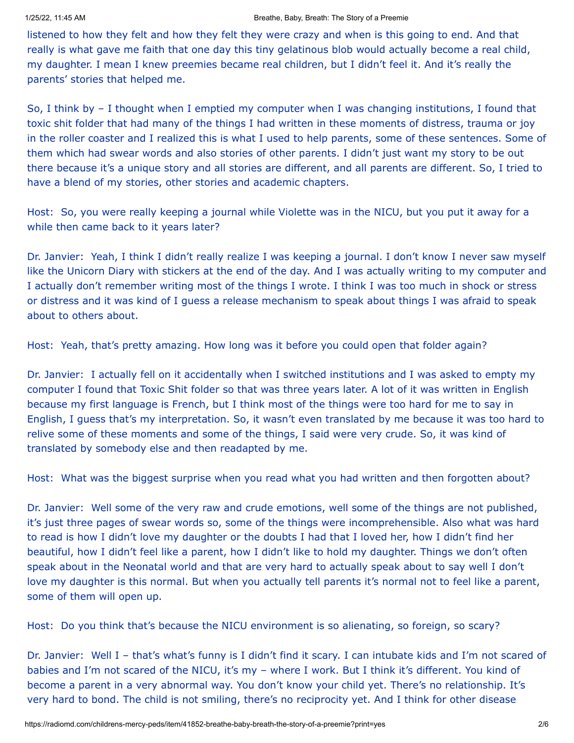listened to how they felt and how they felt they were crazy and when is this going to end. And that really is what gave me faith that one day this tiny gelatinous blob would actually become a real child, my daughter. I mean I knew preemies became real children, but I didn't feel it. And it's really the parents' stories that helped me.

So, I think by – I thought when I emptied my computer when I was changing institutions, I found that toxic shit folder that had many of the things I had written in these moments of distress, trauma or joy in the roller coaster and I realized this is what I used to help parents, some of these sentences. Some of them which had swear words and also stories of other parents. I didn't just want my story to be out there because it's a unique story and all stories are different, and all parents are different. So, I tried to have a blend of my stories, other stories and academic chapters.

Host: So, you were really keeping a journal while Violette was in the NICU, but you put it away for a while then came back to it years later?

Dr. Janvier: Yeah, I think I didn't really realize I was keeping a journal. I don't know I never saw myself like the Unicorn Diary with stickers at the end of the day. And I was actually writing to my computer and I actually don't remember writing most of the things I wrote. I think I was too much in shock or stress or distress and it was kind of I guess a release mechanism to speak about things I was afraid to speak about to others about.

Host: Yeah, that's pretty amazing. How long was it before you could open that folder again?

Dr. Janvier: I actually fell on it accidentally when I switched institutions and I was asked to empty my computer I found that Toxic Shit folder so that was three years later. A lot of it was written in English because my first language is French, but I think most of the things were too hard for me to say in English, I guess that's my interpretation. So, it wasn't even translated by me because it was too hard to relive some of these moments and some of the things, I said were very crude. So, it was kind of translated by somebody else and then readapted by me.

Host: What was the biggest surprise when you read what you had written and then forgotten about?

Dr. Janvier: Well some of the very raw and crude emotions, well some of the things are not published, it's just three pages of swear words so, some of the things were incomprehensible. Also what was hard to read is how I didn't love my daughter or the doubts I had that I loved her, how I didn't find her beautiful, how I didn't feel like a parent, how I didn't like to hold my daughter. Things we don't often speak about in the Neonatal world and that are very hard to actually speak about to say well I don't love my daughter is this normal. But when you actually tell parents it's normal not to feel like a parent, some of them will open up.

Host: Do you think that's because the NICU environment is so alienating, so foreign, so scary?

Dr. Janvier: Well I – that's what's funny is I didn't find it scary. I can intubate kids and I'm not scared of babies and I'm not scared of the NICU, it's my – where I work. But I think it's different. You kind of become a parent in a very abnormal way. You don't know your child yet. There's no relationship. It's very hard to bond. The child is not smiling, there's no reciprocity yet. And I think for other disease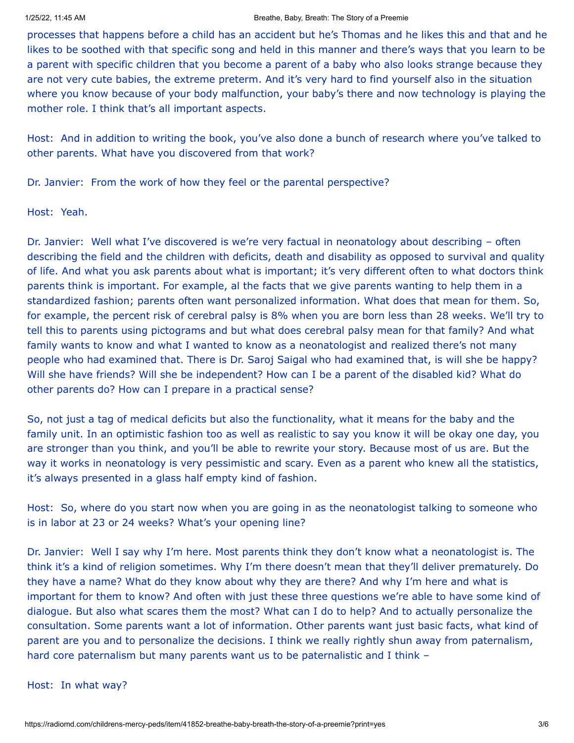## 1/25/22, 11:45 AM Breathe, Baby, Breath: The Story of a Preemie

processes that happens before a child has an accident but he's Thomas and he likes this and that and he likes to be soothed with that specific song and held in this manner and there's ways that you learn to be a parent with specific children that you become a parent of a baby who also looks strange because they are not very cute babies, the extreme preterm. And it's very hard to find yourself also in the situation where you know because of your body malfunction, your baby's there and now technology is playing the mother role. I think that's all important aspects.

Host: And in addition to writing the book, you've also done a bunch of research where you've talked to other parents. What have you discovered from that work?

Dr. Janvier: From the work of how they feel or the parental perspective?

Host: Yeah.

Dr. Janvier: Well what I've discovered is we're very factual in neonatology about describing – often describing the field and the children with deficits, death and disability as opposed to survival and quality of life. And what you ask parents about what is important; it's very different often to what doctors think parents think is important. For example, al the facts that we give parents wanting to help them in a standardized fashion; parents often want personalized information. What does that mean for them. So, for example, the percent risk of cerebral palsy is 8% when you are born less than 28 weeks. We'll try to tell this to parents using pictograms and but what does cerebral palsy mean for that family? And what family wants to know and what I wanted to know as a neonatologist and realized there's not many people who had examined that. There is Dr. Saroj Saigal who had examined that, is will she be happy? Will she have friends? Will she be independent? How can I be a parent of the disabled kid? What do other parents do? How can I prepare in a practical sense?

So, not just a tag of medical deficits but also the functionality, what it means for the baby and the family unit. In an optimistic fashion too as well as realistic to say you know it will be okay one day, you are stronger than you think, and you'll be able to rewrite your story. Because most of us are. But the way it works in neonatology is very pessimistic and scary. Even as a parent who knew all the statistics, it's always presented in a glass half empty kind of fashion.

Host: So, where do you start now when you are going in as the neonatologist talking to someone who is in labor at 23 or 24 weeks? What's your opening line?

Dr. Janvier: Well I say why I'm here. Most parents think they don't know what a neonatologist is. The think it's a kind of religion sometimes. Why I'm there doesn't mean that they'll deliver prematurely. Do they have a name? What do they know about why they are there? And why I'm here and what is important for them to know? And often with just these three questions we're able to have some kind of dialogue. But also what scares them the most? What can I do to help? And to actually personalize the consultation. Some parents want a lot of information. Other parents want just basic facts, what kind of parent are you and to personalize the decisions. I think we really rightly shun away from paternalism, hard core paternalism but many parents want us to be paternalistic and I think -

Host: In what way?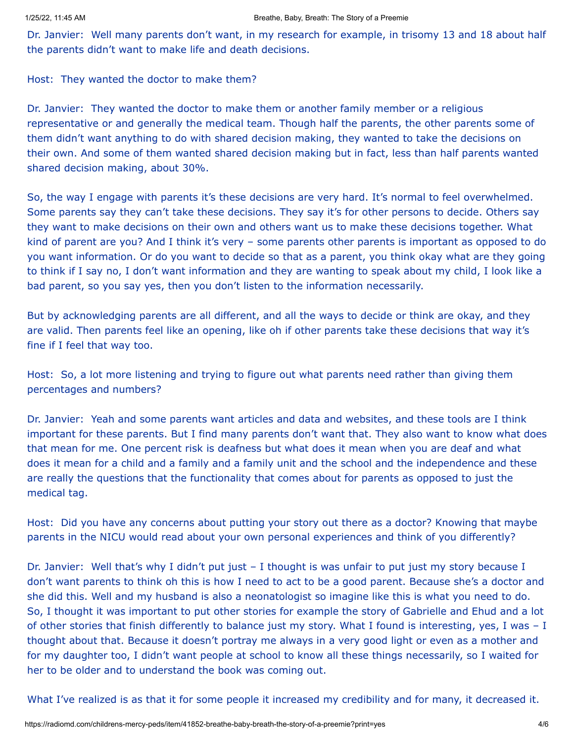Dr. Janvier: Well many parents don't want, in my research for example, in trisomy 13 and 18 about half the parents didn't want to make life and death decisions.

## Host: They wanted the doctor to make them?

Dr. Janvier: They wanted the doctor to make them or another family member or a religious representative or and generally the medical team. Though half the parents, the other parents some of them didn't want anything to do with shared decision making, they wanted to take the decisions on their own. And some of them wanted shared decision making but in fact, less than half parents wanted shared decision making, about 30%.

So, the way I engage with parents it's these decisions are very hard. It's normal to feel overwhelmed. Some parents say they can't take these decisions. They say it's for other persons to decide. Others say they want to make decisions on their own and others want us to make these decisions together. What kind of parent are you? And I think it's very - some parents other parents is important as opposed to do you want information. Or do you want to decide so that as a parent, you think okay what are they going to think if I say no, I don't want information and they are wanting to speak about my child, I look like a bad parent, so you say yes, then you don't listen to the information necessarily.

But by acknowledging parents are all different, and all the ways to decide or think are okay, and they are valid. Then parents feel like an opening, like oh if other parents take these decisions that way it's fine if I feel that way too.

Host: So, a lot more listening and trying to figure out what parents need rather than giving them percentages and numbers?

Dr. Janvier: Yeah and some parents want articles and data and websites, and these tools are I think important for these parents. But I find many parents don't want that. They also want to know what does that mean for me. One percent risk is deafness but what does it mean when you are deaf and what does it mean for a child and a family and a family unit and the school and the independence and these are really the questions that the functionality that comes about for parents as opposed to just the medical tag.

Host: Did you have any concerns about putting your story out there as a doctor? Knowing that maybe parents in the NICU would read about your own personal experiences and think of you differently?

Dr. Janvier: Well that's why I didn't put just – I thought is was unfair to put just my story because I don't want parents to think oh this is how I need to act to be a good parent. Because she's a doctor and she did this. Well and my husband is also a neonatologist so imagine like this is what you need to do. So, I thought it was important to put other stories for example the story of Gabrielle and Ehud and a lot of other stories that finish differently to balance just my story. What I found is interesting, yes, I was – I thought about that. Because it doesn't portray me always in a very good light or even as a mother and for my daughter too, I didn't want people at school to know all these things necessarily, so I waited for her to be older and to understand the book was coming out.

What I've realized is as that it for some people it increased my credibility and for many, it decreased it.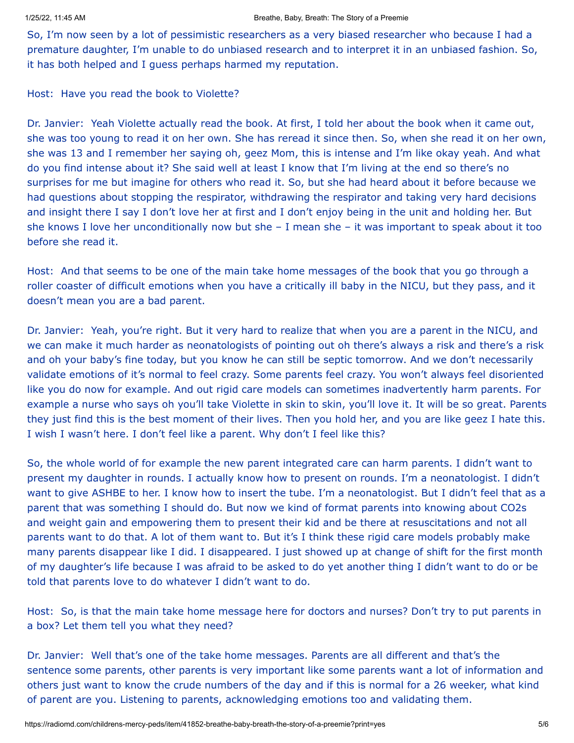So, I'm now seen by a lot of pessimistic researchers as a very biased researcher who because I had a premature daughter, I'm unable to do unbiased research and to interpret it in an unbiased fashion. So, it has both helped and I guess perhaps harmed my reputation.

Host: Have you read the book to Violette?

Dr. Janvier: Yeah Violette actually read the book. At first, I told her about the book when it came out, she was too young to read it on her own. She has reread it since then. So, when she read it on her own, she was 13 and I remember her saying oh, geez Mom, this is intense and I'm like okay yeah. And what do you find intense about it? She said well at least I know that I'm living at the end so there's no surprises for me but imagine for others who read it. So, but she had heard about it before because we had questions about stopping the respirator, withdrawing the respirator and taking very hard decisions and insight there I say I don't love her at first and I don't enjoy being in the unit and holding her. But she knows I love her unconditionally now but she – I mean she – it was important to speak about it too before she read it.

Host: And that seems to be one of the main take home messages of the book that you go through a roller coaster of difficult emotions when you have a critically ill baby in the NICU, but they pass, and it doesn't mean you are a bad parent.

Dr. Janvier: Yeah, you're right. But it very hard to realize that when you are a parent in the NICU, and we can make it much harder as neonatologists of pointing out oh there's always a risk and there's a risk and oh your baby's fine today, but you know he can still be septic tomorrow. And we don't necessarily validate emotions of it's normal to feel crazy. Some parents feel crazy. You won't always feel disoriented like you do now for example. And out rigid care models can sometimes inadvertently harm parents. For example a nurse who says oh you'll take Violette in skin to skin, you'll love it. It will be so great. Parents they just find this is the best moment of their lives. Then you hold her, and you are like geez I hate this. I wish I wasn't here. I don't feel like a parent. Why don't I feel like this?

So, the whole world of for example the new parent integrated care can harm parents. I didn't want to present my daughter in rounds. I actually know how to present on rounds. I'm a neonatologist. I didn't want to give ASHBE to her. I know how to insert the tube. I'm a neonatologist. But I didn't feel that as a parent that was something I should do. But now we kind of format parents into knowing about CO2s and weight gain and empowering them to present their kid and be there at resuscitations and not all parents want to do that. A lot of them want to. But it's I think these rigid care models probably make many parents disappear like I did. I disappeared. I just showed up at change of shift for the first month of my daughter's life because I was afraid to be asked to do yet another thing I didn't want to do or be told that parents love to do whatever I didn't want to do.

Host: So, is that the main take home message here for doctors and nurses? Don't try to put parents in a box? Let them tell you what they need?

Dr. Janvier: Well that's one of the take home messages. Parents are all different and that's the sentence some parents, other parents is very important like some parents want a lot of information and others just want to know the crude numbers of the day and if this is normal for a 26 weeker, what kind of parent are you. Listening to parents, acknowledging emotions too and validating them.